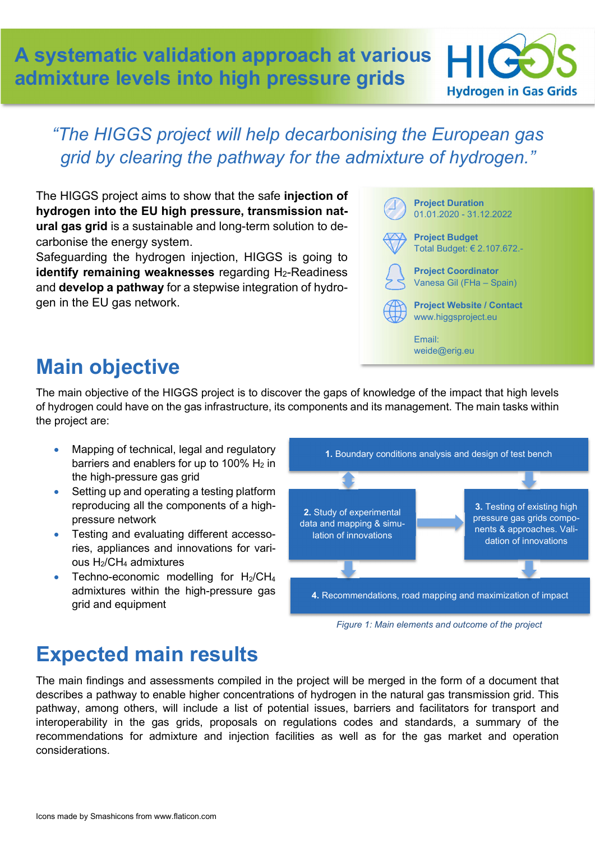A systematic validation approach at various admixture levels into high pressure grids Hydrogen in Gas Grids



#### "The HIGGS project will help decarbonising the European gas grid by clearing the pathway for the admixture of hydrogen."

The HIGGS project aims to show that the safe injection of hydrogen into the EU high pressure, transmission natural gas grid is a sustainable and long-term solution to decarbonise the energy system.

Safeguarding the hydrogen injection, HIGGS is going to identify remaining weaknesses regarding H2-Readiness and develop a pathway for a stepwise integration of hydrogen in the EU gas network.



# Main objective

The main objective of the HIGGS project is to discover the gaps of knowledge of the impact that high levels of hydrogen could have on the gas infrastructure, its components and its management. The main tasks within the project are:

- Mapping of technical, legal and regulatory barriers and enablers for up to 100%  $H_2$  in the high-pressure gas grid
- Setting up and operating a testing platform reproducing all the components of a highpressure network
- Testing and evaluating different accessories, appliances and innovations for various H2/CH4 admixtures
- Techno-economic modelling for  $H_2/CH_4$ admixtures within the high-pressure gas grid and equipment



Figure 1: Main elements and outcome of the project

### Expected main results

The main findings and assessments compiled in the project will be merged in the form of a document that describes a pathway to enable higher concentrations of hydrogen in the natural gas transmission grid. This pathway, among others, will include a list of potential issues, barriers and facilitators for transport and interoperability in the gas grids, proposals on regulations codes and standards, a summary of the recommendations for admixture and injection facilities as well as for the gas market and operation considerations.